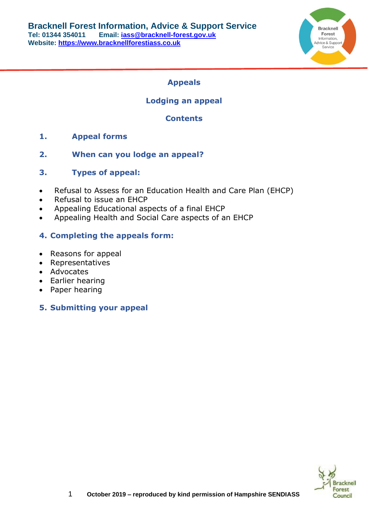

# **Appeals**

# **Lodging an appeal**

# **Contents**

- **1. Appeal forms**
- **2. When can you lodge an appeal?**
- **3. Types of appeal:**
- Refusal to Assess for an Education Health and Care Plan (EHCP)
- Refusal to issue an EHCP
- Appealing Educational aspects of a final EHCP
- Appealing Health and Social Care aspects of an EHCP

## **4. Completing the appeals form:**

- Reasons for appeal
- Representatives
- Advocates
- Earlier hearing
- Paper hearing

# **5. Submitting your appeal**

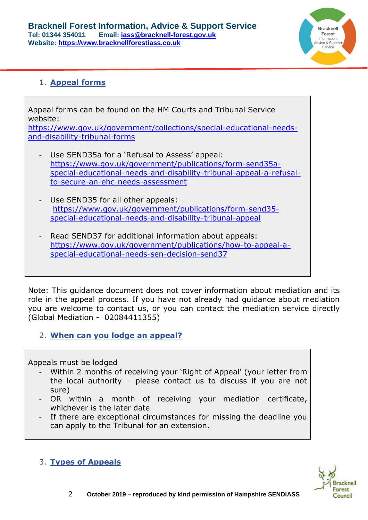

# 1. **Appeal forms**

Appeal forms can be found on the HM Courts and Tribunal Service website: [https://www.gov.uk/government/collections/special-educational-needs](https://www.gov.uk/government/collections/special-educational-needs-and-disability-tribunal-forms)[and-disability-tribunal-forms](https://www.gov.uk/government/collections/special-educational-needs-and-disability-tribunal-forms) Use SEND35a for a 'Refusal to Assess' appeal: [https://www.gov.uk/government/publications/form-send35a](https://www.gov.uk/government/publications/form-send35a-special-educational-needs-and-disability-tribunal-appeal-a-refusal-to-secure-an-ehc-needs-assessment)[special-educational-needs-and-disability-tribunal-appeal-a-refusal](https://www.gov.uk/government/publications/form-send35a-special-educational-needs-and-disability-tribunal-appeal-a-refusal-to-secure-an-ehc-needs-assessment)[to-secure-an-ehc-needs-assessment](https://www.gov.uk/government/publications/form-send35a-special-educational-needs-and-disability-tribunal-appeal-a-refusal-to-secure-an-ehc-needs-assessment) Use SEND35 for all other appeals: [https://www.gov.uk/government/publications/form-send35](https://www.gov.uk/government/publications/form-send35-special-educational-needs-and-disability-tribunal-appeal) [special-educational-needs-and-disability-tribunal-appeal](https://www.gov.uk/government/publications/form-send35-special-educational-needs-and-disability-tribunal-appeal) Read SEND37 for additional information about appeals: [https://www.gov.uk/government/publications/how-to-appeal-a-](https://www.gov.uk/government/publications/how-to-appeal-a-special-educational-needs-sen-decision-send37)

[special-educational-needs-sen-decision-send37](https://www.gov.uk/government/publications/how-to-appeal-a-special-educational-needs-sen-decision-send37) 

Note: This guidance document does not cover information about mediation and its role in the appeal process. If you have not already had guidance about mediation you are welcome to contact us, or you can contact the mediation service directly (Global Mediation - [02084411355\)](tel:02084411355)

2. **When can you lodge an appeal?**

Appeals must be lodged

- Within 2 months of receiving your 'Right of Appeal' (your letter from the local authority – please contact us to discuss if you are not sure)
- OR within a month of receiving your mediation certificate, whichever is the later date
- If there are exceptional circumstances for missing the deadline you can apply to the Tribunal for an extension.



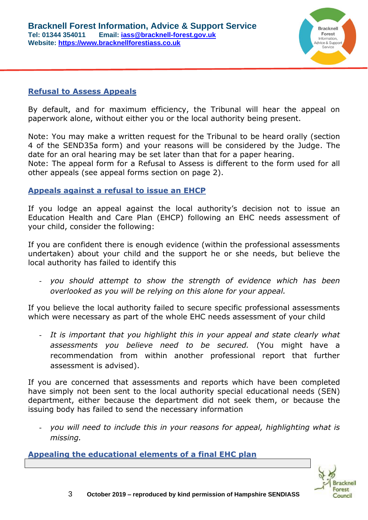

### **Refusal to Assess Appeals**

By default, and for maximum efficiency, the Tribunal will hear the appeal on paperwork alone, without either you or the local authority being present.

Note: You may make a written request for the Tribunal to be heard orally (section 4 of the SEND35a form) and your reasons will be considered by the Judge. The date for an oral hearing may be set later than that for a paper hearing. Note: The appeal form for a Refusal to Assess is different to the form used for all other appeals (see appeal forms section on page 2).

### **Appeals against a refusal to issue an EHCP**

If you lodge an appeal against the local authority's decision not to issue an Education Health and Care Plan (EHCP) following an EHC needs assessment of your child, consider the following:

If you are confident there is enough evidence (within the professional assessments undertaken) about your child and the support he or she needs, but believe the local authority has failed to identify this

- *you should attempt to show the strength of evidence which has been overlooked as you will be relying on this alone for your appeal.*

If you believe the local authority failed to secure specific professional assessments which were necessary as part of the whole EHC needs assessment of your child

- *It is important that you highlight this in your appeal and state clearly what assessments you believe need to be secured.* (You might have a recommendation from within another professional report that further assessment is advised).

If you are concerned that assessments and reports which have been completed have simply not been sent to the local authority special educational needs (SEN) department, either because the department did not seek them, or because the issuing body has failed to send the necessary information

- *you will need to include this in your reasons for appeal, highlighting what is missing.*

**Appealing the educational elements of a final EHC plan** 

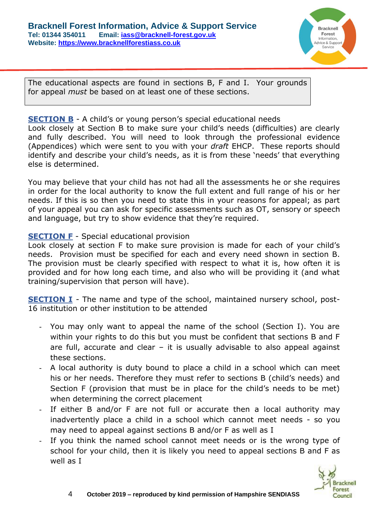

The educational aspects are found in sections B, F and I. Your grounds for appeal *must* be based on at least one of these sections.

### **SECTION B** - A child's or young person's special educational needs

Look closely at Section B to make sure your child's needs (difficulties) are clearly and fully described. You will need to look through the professional evidence (Appendices) which were sent to you with your *draft* EHCP. These reports should identify and describe your child's needs, as it is from these 'needs' that everything else is determined.

You may believe that your child has not had all the assessments he or she requires in order for the local authority to know the full extent and full range of his or her needs. If this is so then you need to state this in your reasons for appeal; as part of your appeal you can ask for specific assessments such as OT, sensory or speech and language, but try to show evidence that they're required.

## **SECTION F** - Special educational provision

Look closely at section F to make sure provision is made for each of your child's needs. Provision must be specified for each and every need shown in section B. The provision must be clearly specified with respect to what it is, how often it is provided and for how long each time, and also who will be providing it (and what training/supervision that person will have).

**SECTION I** - The name and type of the school, maintained nursery school, post-16 institution or other institution to be attended

- You may only want to appeal the name of the school (Section I). You are within your rights to do this but you must be confident that sections B and F are full, accurate and clear  $-$  it is usually advisable to also appeal against these sections.
- A local authority is duty bound to place a child in a school which can meet his or her needs. Therefore they must refer to sections B (child's needs) and Section F (provision that must be in place for the child's needs to be met) when determining the correct placement
- If either B and/or F are not full or accurate then a local authority may inadvertently place a child in a school which cannot meet needs - so you may need to appeal against sections B and/or F as well as I
- If you think the named school cannot meet needs or is the wrong type of school for your child, then it is likely you need to appeal sections B and F as well as I

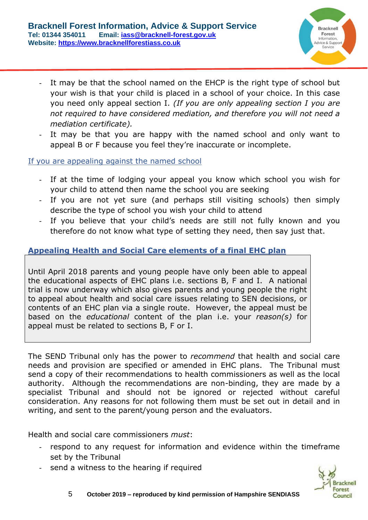

- It may be that the school named on the EHCP is the right type of school but your wish is that your child is placed in a school of your choice. In this case you need only appeal section I. *(If you are only appealing section I you are not required to have considered mediation, and therefore you will not need a mediation certificate).*
- It may be that you are happy with the named school and only want to appeal B or F because you feel they're inaccurate or incomplete.

If you are appealing against the named school

- If at the time of lodging your appeal you know which school you wish for your child to attend then name the school you are seeking
- If you are not yet sure (and perhaps still visiting schools) then simply describe the type of school you wish your child to attend
- If you believe that your child's needs are still not fully known and you therefore do not know what type of setting they need, then say just that.

# **Appealing Health and Social Care elements of a final EHC plan**

Until April 2018 parents and young people have only been able to appeal the educational aspects of EHC plans i.e. sections B, F and I. A national trial is now underway which also gives parents and young people the right to appeal about health and social care issues relating to SEN decisions, or contents of an EHC plan via a single route. However, the appeal must be based on the *educational* content of the plan i.e. your *reason(s)* for appeal must be related to sections B, F or I.

The SEND Tribunal only has the power to *recommend* that health and social care needs and provision are specified or amended in EHC plans. The Tribunal must send a copy of their recommendations to health commissioners as well as the local authority. Although the recommendations are non-binding, they are made by a specialist Tribunal and should not be ignored or rejected without careful consideration. Any reasons for not following them must be set out in detail and in writing, and sent to the parent/young person and the evaluators.

Health and social care commissioners *must*:

- respond to any request for information and evidence within the timeframe set by the Tribunal
- send a witness to the hearing if required



5 **October 2019 – reproduced by kind permission of Hampshire SENDIASS**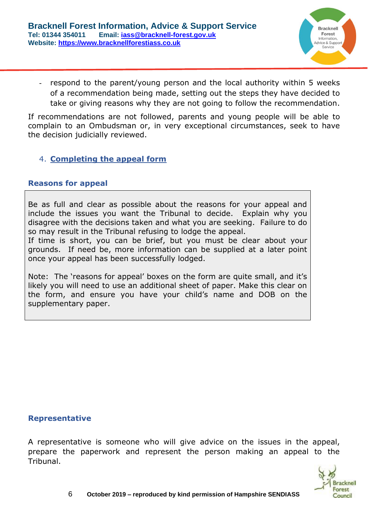

respond to the parent/young person and the local authority within 5 weeks of a recommendation being made, setting out the steps they have decided to take or giving reasons why they are not going to follow the recommendation.

If recommendations are not followed, parents and young people will be able to complain to an Ombudsman or, in very exceptional circumstances, seek to have the decision judicially reviewed.

# 4. **Completing the appeal form**

#### **Reasons for appeal**

Be as full and clear as possible about the reasons for your appeal and include the issues you want the Tribunal to decide. Explain why you disagree with the decisions taken and what you are seeking. Failure to do so may result in the Tribunal refusing to lodge the appeal.

If time is short, you can be brief, but you must be clear about your grounds. If need be, more information can be supplied at a later point once your appeal has been successfully lodged.

Note: The 'reasons for appeal' boxes on the form are quite small, and it's likely you will need to use an additional sheet of paper. Make this clear on the form, and ensure you have your child's name and DOB on the supplementary paper.

#### **Representative**

A representative is someone who will give advice on the issues in the appeal, prepare the paperwork and represent the person making an appeal to the Tribunal.

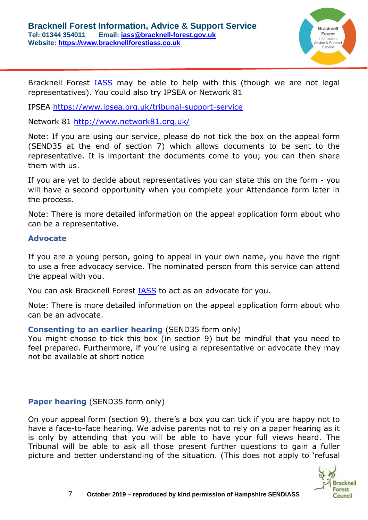

Bracknell Forest [IASS](https://www.bracknell-forest.gov.uk/children-and-family-services/special-educational-needs/information-advice-and-support-service) may be able to help with this (though we are not legal representatives). You could also try IPSEA or Network 81

IPSEA<https://www.ipsea.org.uk/tribunal-support-service>

Network 81 <http://www.network81.org.uk/>

Note: If you are using our service, please do not tick the box on the appeal form (SEND35 at the end of section 7) which allows documents to be sent to the representative. It is important the documents come to you; you can then share them with us.

If you are yet to decide about representatives you can state this on the form - you will have a second opportunity when you complete your Attendance form later in the process.

Note: There is more detailed information on the appeal application form about who can be a representative.

#### **Advocate**

If you are a young person, going to appeal in your own name, you have the right to use a free advocacy service. The nominated person from this service can attend the appeal with you.

You can ask Bracknell Forest [IASS](https://www.bracknell-forest.gov.uk/children-and-family-services/special-educational-needs/information-advice-and-support-service) to act as an advocate for you.

Note: There is more detailed information on the appeal application form about who can be an advocate.

#### **Consenting to an earlier hearing** (SEND35 form only)

You might choose to tick this box (in section 9) but be mindful that you need to feel prepared. Furthermore, if you're using a representative or advocate they may not be available at short notice

### **Paper hearing** (SEND35 form only)

On your appeal form (section 9), there's a box you can tick if you are happy not to have a face-to-face hearing. We advise parents not to rely on a paper hearing as it is only by attending that you will be able to have your full views heard. The Tribunal will be able to ask all those present further questions to gain a fuller picture and better understanding of the situation. (This does not apply to 'refusal

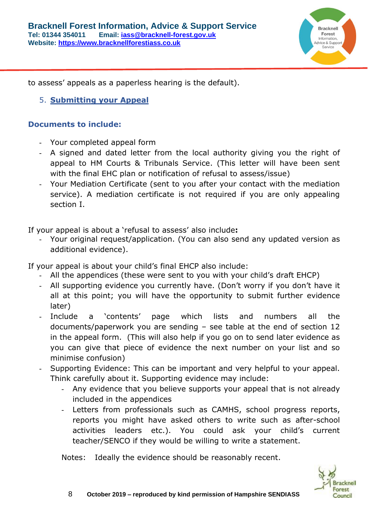

to assess' appeals as a paperless hearing is the default).

5. **Submitting your Appeal** 

## **Documents to include:**

- Your completed appeal form
- A signed and dated letter from the local authority giving you the right of appeal to HM Courts & Tribunals Service. (This letter will have been sent with the final EHC plan or notification of refusal to assess/issue)
- Your Mediation Certificate (sent to you after your contact with the mediation service). A mediation certificate is not required if you are only appealing section I.

If your appeal is about a 'refusal to assess' also include**:**

- Your original request/application. (You can also send any updated version as additional evidence).

If your appeal is about your child's final EHCP also include:

- All the appendices (these were sent to you with your child's draft EHCP)
- All supporting evidence you currently have. (Don't worry if you don't have it all at this point; you will have the opportunity to submit further evidence later)
- Include a 'contents' page which lists and numbers all the documents/paperwork you are sending – see table at the end of section 12 in the appeal form. (This will also help if you go on to send later evidence as you can give that piece of evidence the next number on your list and so minimise confusion)
- Supporting Evidence: This can be important and very helpful to your appeal. Think carefully about it. Supporting evidence may include:
	- Any evidence that you believe supports your appeal that is not already included in the appendices
	- Letters from professionals such as CAMHS, school progress reports, reports you might have asked others to write such as after-school activities leaders etc.). You could ask your child's current teacher/SENCO if they would be willing to write a statement.

Notes: Ideally the evidence should be reasonably recent.